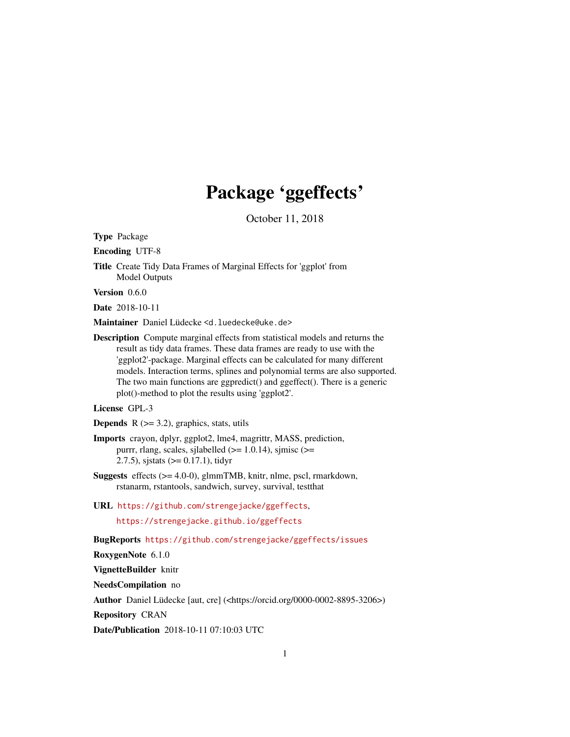## Package 'ggeffects'

October 11, 2018

<span id="page-0-0"></span>Type Package

Encoding UTF-8

Title Create Tidy Data Frames of Marginal Effects for 'ggplot' from Model Outputs

Version 0.6.0

Date 2018-10-11

Maintainer Daniel Lüdecke <d. luedecke@uke.de>

Description Compute marginal effects from statistical models and returns the result as tidy data frames. These data frames are ready to use with the 'ggplot2'-package. Marginal effects can be calculated for many different models. Interaction terms, splines and polynomial terms are also supported. The two main functions are ggpredict() and ggeffect(). There is a generic plot()-method to plot the results using 'ggplot2'.

#### License GPL-3

**Depends**  $R$  ( $>= 3.2$ ), graphics, stats, utils

- Imports crayon, dplyr, ggplot2, lme4, magrittr, MASS, prediction, purrr, rlang, scales, sjlabelled ( $>= 1.0.14$ ), sjmisc ( $>=$ 2.7.5), sjstats  $(>= 0.17.1)$ , tidyr
- Suggests effects (>= 4.0-0), glmmTMB, knitr, nlme, pscl, rmarkdown, rstanarm, rstantools, sandwich, survey, survival, testthat
- URL <https://github.com/strengejacke/ggeffects>, <https://strengejacke.github.io/ggeffects>

BugReports <https://github.com/strengejacke/ggeffects/issues>

RoxygenNote 6.1.0

VignetteBuilder knitr

NeedsCompilation no

Author Daniel Lüdecke [aut, cre] (<https://orcid.org/0000-0002-8895-3206>)

Repository CRAN

Date/Publication 2018-10-11 07:10:03 UTC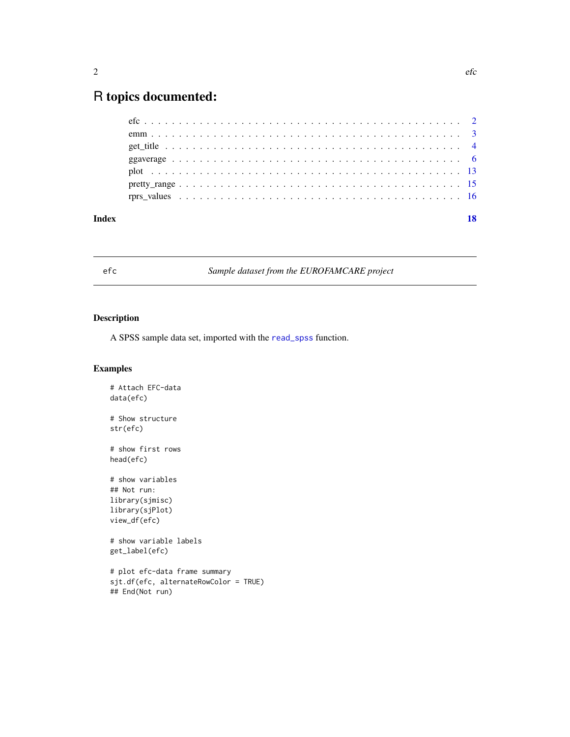## <span id="page-1-0"></span>R topics documented:

| Index | 18 |
|-------|----|
|       |    |
|       |    |
|       |    |
|       |    |
|       |    |
|       |    |
|       |    |

### efc *Sample dataset from the EUROFAMCARE project*

#### Description

A SPSS sample data set, imported with the [read\\_spss](#page-0-0) function.

```
# Attach EFC-data
data(efc)
# Show structure
str(efc)
# show first rows
head(efc)
# show variables
## Not run:
library(sjmisc)
library(sjPlot)
view_df(efc)
# show variable labels
get_label(efc)
# plot efc-data frame summary
sjt.df(efc, alternateRowColor = TRUE)
## End(Not run)
```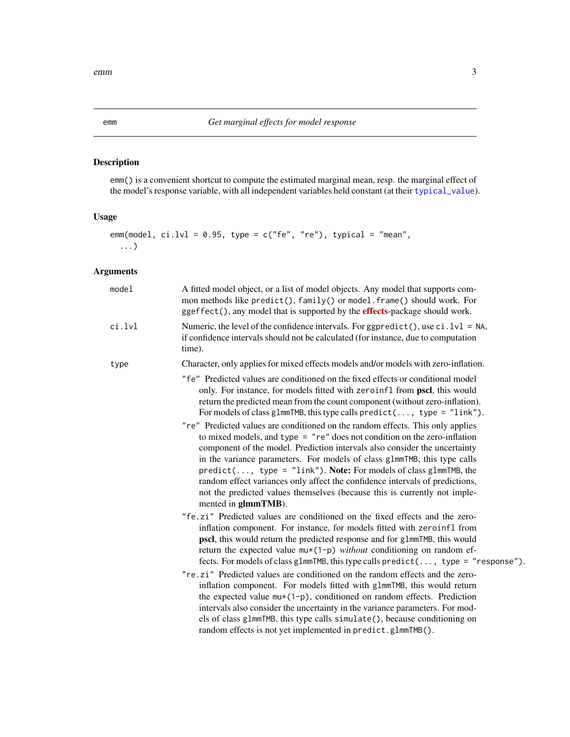#### <span id="page-2-0"></span>Description

emm() is a convenient shortcut to compute the estimated marginal mean, resp. the marginal effect of the model's response variable, with all independent variables held constant (at their [typical\\_value](#page-0-0)).

#### Usage

```
emm(model, ci.lvl = 0.95, type = c("fe", "re"), typical = "mean",
  ...)
```

| model  | A fitted model object, or a list of model objects. Any model that supports com-<br>mon methods like predict(), family() or model. frame() should work. For<br>ggeffect(), any model that is supported by the <b>effects</b> -package should work.                                                                                                                                                                                                                                                                                                                                 |
|--------|-----------------------------------------------------------------------------------------------------------------------------------------------------------------------------------------------------------------------------------------------------------------------------------------------------------------------------------------------------------------------------------------------------------------------------------------------------------------------------------------------------------------------------------------------------------------------------------|
| ci.lvl | Numeric, the level of the confidence intervals. For ggpredict(), use $ci$ . $1vl = NA$ ,<br>if confidence intervals should not be calculated (for instance, due to computation<br>time).                                                                                                                                                                                                                                                                                                                                                                                          |
| type   | Character, only applies for mixed effects models and/or models with zero-inflation.                                                                                                                                                                                                                                                                                                                                                                                                                                                                                               |
|        | "fe" Predicted values are conditioned on the fixed effects or conditional model<br>only. For instance, for models fitted with zeroinf1 from pscl, this would<br>return the predicted mean from the count component (without zero-inflation).<br>For models of class glmmTMB, this type calls $predict(, type = "link").$                                                                                                                                                                                                                                                          |
|        | "re" Predicted values are conditioned on the random effects. This only applies<br>to mixed models, and type $=$ "re" does not condition on the zero-inflation<br>component of the model. Prediction intervals also consider the uncertainty<br>in the variance parameters. For models of class glmmTMB, this type calls<br>$predict(, type = "link").$ Note: For models of class glmmTMB, the<br>random effect variances only affect the confidence intervals of predictions,<br>not the predicted values themselves (because this is currently not imple-<br>mented in glmmTMB). |
|        | "fe.zi" Predicted values are conditioned on the fixed effects and the zero-<br>inflation component. For instance, for models fitted with zeroinfl from<br>pscl, this would return the predicted response and for glmmTMB, this would<br>return the expected value $mu*(1-p)$ without conditioning on random ef-<br>fects. For models of class glmmTMB, this type calls $predict(, type = "response").$                                                                                                                                                                            |
|        | "re.zi" Predicted values are conditioned on the random effects and the zero-<br>inflation component. For models fitted with glmmTMB, this would return<br>the expected value $mu*(1-p)$ , conditioned on random effects. Prediction<br>intervals also consider the uncertainty in the variance parameters. For mod-<br>els of class g1mmTMB, this type calls simulate(), because conditioning on<br>random effects is not yet implemented in predict.glmmTMB().                                                                                                                   |
|        |                                                                                                                                                                                                                                                                                                                                                                                                                                                                                                                                                                                   |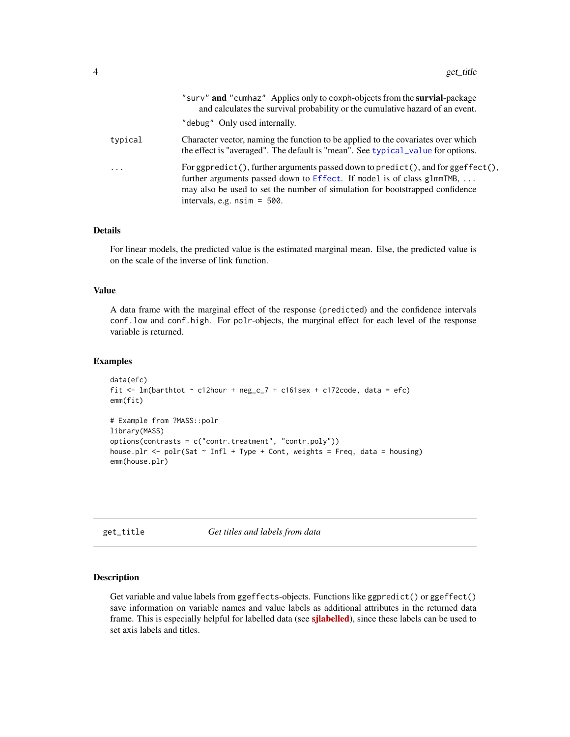<span id="page-3-0"></span>

|         | "surv" and "cumhaz" Applies only to coxph-objects from the survial-package<br>and calculates the survival probability or the cumulative hazard of an event.<br>"debug" Only used internally.                                                                                               |
|---------|--------------------------------------------------------------------------------------------------------------------------------------------------------------------------------------------------------------------------------------------------------------------------------------------|
| typical | Character vector, naming the function to be applied to the covariates over which<br>the effect is "averaged". The default is "mean". See typical value for options.                                                                                                                        |
| .       | For ggpredict(), further arguments passed down to $predict()$ , and for $ggeffect()$ ,<br>further arguments passed down to Effect. If model is of class glmmTMB, $\dots$<br>may also be used to set the number of simulation for bootstrapped confidence<br>intervals, e.g. $nsim = 500$ . |

#### Details

For linear models, the predicted value is the estimated marginal mean. Else, the predicted value is on the scale of the inverse of link function.

#### Value

A data frame with the marginal effect of the response (predicted) and the confidence intervals conf.low and conf.high. For polr-objects, the marginal effect for each level of the response variable is returned.

#### Examples

```
data(efc)
fit \le - lm(barthtot \sim c12hour + neg_c_7 + c161sex + c172code, data = efc)
emm(fit)
# Example from ?MASS::polr
library(MASS)
options(contrasts = c("contr.treatment", "contr.poly"))
house.plr <- polr(Sat ~ Infl + Type + Cont, weights = Freq, data = housing)
emm(house.plr)
```
get\_title *Get titles and labels from data*

#### Description

Get variable and value labels from ggeffects-objects. Functions like ggpredict() or ggeffect() save information on variable names and value labels as additional attributes in the returned data frame. This is especially helpful for labelled data (see [sjlabelled](https://CRAN.R-project.org/package=sjlabelled)), since these labels can be used to set axis labels and titles.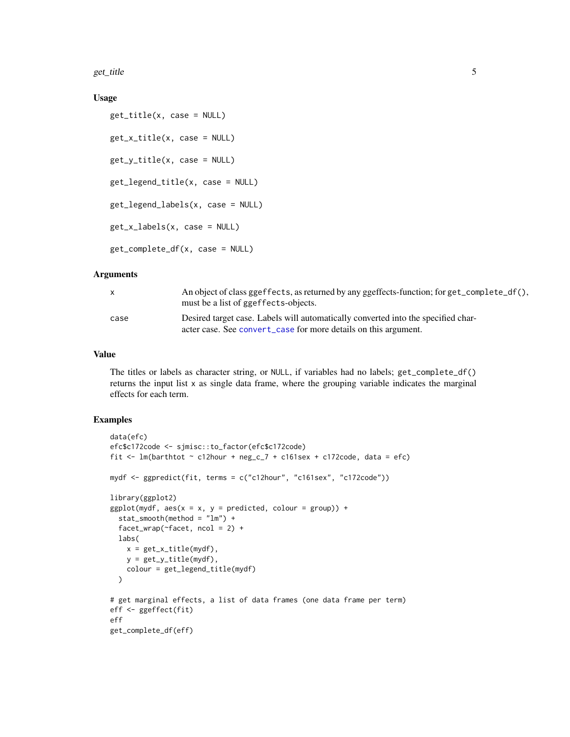<span id="page-4-0"></span>get\_title 5

#### Usage

```
get_title(x, case = NULL)
get_x_title(x, case = NULL)
get_y_title(x, case = NULL)
get_legend_title(x, case = NULL)
get_legend_labels(x, case = NULL)
get_x_labels(x, case = NULL)
get_complete_df(x, case = NULL)
```
#### Arguments

|      | An object of class ggeffects, as returned by any ggeffects-function; for get_complete_df(),<br>must be a list of ggeffects-objects.                  |
|------|------------------------------------------------------------------------------------------------------------------------------------------------------|
| case | Desired target case. Labels will automatically converted into the specified char-<br>acter case. See convert_case for more details on this argument. |

#### Value

The titles or labels as character string, or NULL, if variables had no labels; get\_complete\_df() returns the input list x as single data frame, where the grouping variable indicates the marginal effects for each term.

```
data(efc)
efc$c172code <- sjmisc::to_factor(efc$c172code)
fit <- lm(barthtot \sim c12hour + neg_c_7 + c161sex + c172code, data = efc)
mydf <- ggpredict(fit, terms = c("c12hour", "c161sex", "c172code"))
library(ggplot2)
ggplot(mydf, aes(x = x, y = predicted, colour = group)) +stat_smooth(method = "lm") +
  facet_wrap(~facet, ncol = 2) +
  labs(
   x = get_x_title(mydf),y = get_y_titile(mydf),
   colour = get_legend_title(mydf)
  )
# get marginal effects, a list of data frames (one data frame per term)
eff <- ggeffect(fit)
eff
get_complete_df(eff)
```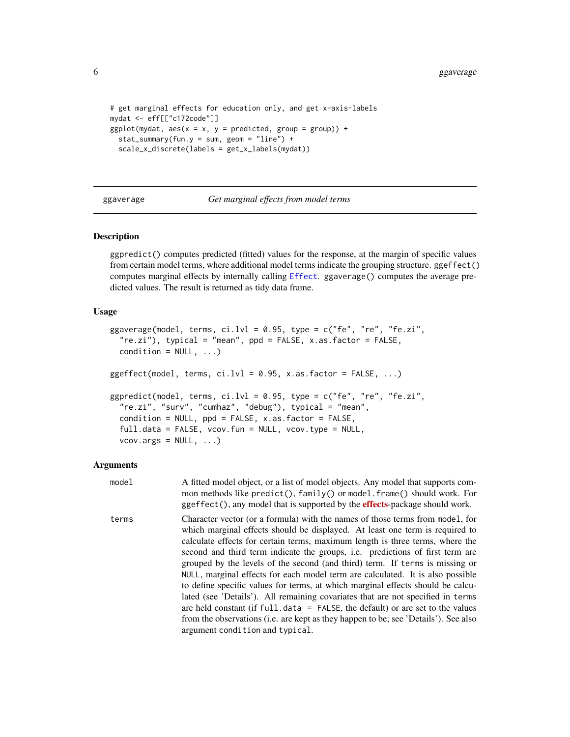```
# get marginal effects for education only, and get x-axis-labels
mydat <- eff[["c172code"]]
ggplot(mydat, aes(x = x, y = predicted, group = group)) +stat_summary(fun.y = sum, geom = "line") +
  scale_x_discrete(labels = get_x_labels(mydat))
```
ggaverage *Get marginal effects from model terms*

#### Description

ggpredict() computes predicted (fitted) values for the response, at the margin of specific values from certain model terms, where additional model terms indicate the grouping structure. ggeffect() computes marginal effects by internally calling [Effect](#page-0-0). ggaverage() computes the average predicted values. The result is returned as tidy data frame.

#### Usage

```
ggaverage(model, terms, ci.lvl = 0.95, type = c("fe", "re", "fe.zi","re.zi"), typical = "mean", ppd = FALSE, x.as.factor = FALSE,
 condition = NULL, ...)ggeffect(model, terms, ci.lvl = 0.95, x.as.factor = FALSE, ...)ggpredict(model, terms, ci.lvl = 0.95, type = c("fe", "re", "fe.zi","re.zi", "surv", "cumhaz", "debug"), typical = "mean",
 condition = NULL, ppd = FALSE, x.as.factor = FALSE,
  full.data = FALSE, vcov.fun = NULL, vcov.type = NULL,
  vcov.args = NULL, ...)
```

| model | A fitted model object, or a list of model objects. Any model that supports com-<br>mon methods like predict(), family() or model. frame() should work. For<br>ggeffect(), any model that is supported by the <b>effects</b> -package should work.                                                                                                                                                                                                                                                                                                                                                                                                                                                                                                                                                                                                                                             |
|-------|-----------------------------------------------------------------------------------------------------------------------------------------------------------------------------------------------------------------------------------------------------------------------------------------------------------------------------------------------------------------------------------------------------------------------------------------------------------------------------------------------------------------------------------------------------------------------------------------------------------------------------------------------------------------------------------------------------------------------------------------------------------------------------------------------------------------------------------------------------------------------------------------------|
| terms | Character vector (or a formula) with the names of those terms from model, for<br>which marginal effects should be displayed. At least one term is required to<br>calculate effects for certain terms, maximum length is three terms, where the<br>second and third term indicate the groups, <i>i.e.</i> predictions of first term are<br>grouped by the levels of the second (and third) term. If terms is missing or<br>NULL, marginal effects for each model term are calculated. It is also possible<br>to define specific values for terms, at which marginal effects should be calcu-<br>lated (see 'Details'). All remaining covariates that are not specified in terms<br>are held constant (if $full.data = FALSE$ , the default) or are set to the values<br>from the observations (i.e. are kept as they happen to be; see 'Details'). See also<br>argument condition and typical. |

<span id="page-5-0"></span>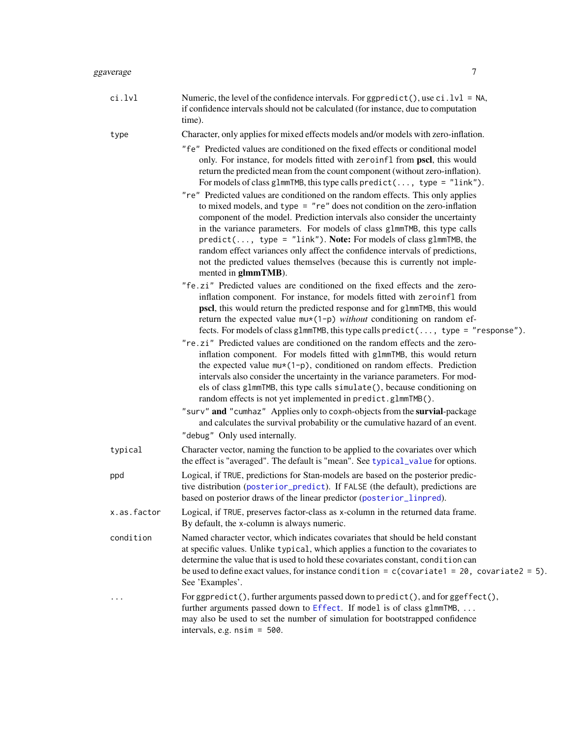<span id="page-6-0"></span>

| ggaverage | 7                                                                                                                                                                                                                                                                                                                                                                                                                                                                                                                                                                                                                                                                                                                                                                                                                                                                                              |
|-----------|------------------------------------------------------------------------------------------------------------------------------------------------------------------------------------------------------------------------------------------------------------------------------------------------------------------------------------------------------------------------------------------------------------------------------------------------------------------------------------------------------------------------------------------------------------------------------------------------------------------------------------------------------------------------------------------------------------------------------------------------------------------------------------------------------------------------------------------------------------------------------------------------|
| ci.lvl    | Numeric, the level of the confidence intervals. For ggpredict (), use ci. $1vl = NA$ ,<br>if confidence intervals should not be calculated (for instance, due to computation<br>time).                                                                                                                                                                                                                                                                                                                                                                                                                                                                                                                                                                                                                                                                                                         |
| type      | Character, only applies for mixed effects models and/or models with zero-inflation.                                                                                                                                                                                                                                                                                                                                                                                                                                                                                                                                                                                                                                                                                                                                                                                                            |
|           | "fe" Predicted values are conditioned on the fixed effects or conditional model<br>only. For instance, for models fitted with zeroinf1 from pscl, this would<br>return the predicted mean from the count component (without zero-inflation).<br>For models of class glmmTMB, this type calls $predict( , type = "link").$<br>"re" Predicted values are conditioned on the random effects. This only applies<br>to mixed models, and type $=$ "re" does not condition on the zero-inflation<br>component of the model. Prediction intervals also consider the uncertainty<br>in the variance parameters. For models of class glmmTMB, this type calls<br>$predict(, type = "link").$ Note: For models of class glmmTMB, the<br>random effect variances only affect the confidence intervals of predictions,<br>not the predicted values themselves (because this is currently not imple-        |
|           | mented in glmmTMB).<br>"fe.zi" Predicted values are conditioned on the fixed effects and the zero-<br>inflation component. For instance, for models fitted with zeroinfl from<br>pscl, this would return the predicted response and for glmmTMB, this would<br>return the expected value $mu*(1-p)$ without conditioning on random ef-<br>fects. For models of class glmmTMB, this type calls predict(, type = "response").<br>"re.zi" Predicted values are conditioned on the random effects and the zero-<br>inflation component. For models fitted with glmmTMB, this would return<br>the expected value $mu*(1-p)$ , conditioned on random effects. Prediction<br>intervals also consider the uncertainty in the variance parameters. For mod-<br>els of class glmmTMB, this type calls simulate(), because conditioning on<br>random effects is not yet implemented in predict.glmmTMB(). |

"surv" and "cumhaz" Applies only to coxph-objects from the survial-package and calculates the survival probability or the cumulative hazard of an event. "debug" Only used internally.

typical Character vector, naming the function to be applied to the covariates over which the effect is "averaged". The default is "mean". See [typical\\_value](#page-0-0) for options.

- ppd Logical, if TRUE, predictions for Stan-models are based on the posterior predictive distribution ([posterior\\_predict](#page-0-0)). If FALSE (the default), predictions are based on posterior draws of the linear predictor ([posterior\\_linpred](#page-0-0)).
- x.as.factor Logical, if TRUE, preserves factor-class as x-column in the returned data frame. By default, the x-column is always numeric.

condition Named character vector, which indicates covariates that should be held constant at specific values. Unlike typical, which applies a function to the covariates to determine the value that is used to hold these covariates constant, condition can be used to define exact values, for instance condition =  $c$ (covariate1 = 20, covariate2 = 5). See 'Examples'.

... For ggpredict(), further arguments passed down to predict(), and for ggeffect(), further arguments passed down to [Effect](#page-0-0). If model is of class glmmTMB, ... may also be used to set the number of simulation for bootstrapped confidence intervals, e.g. nsim = 500.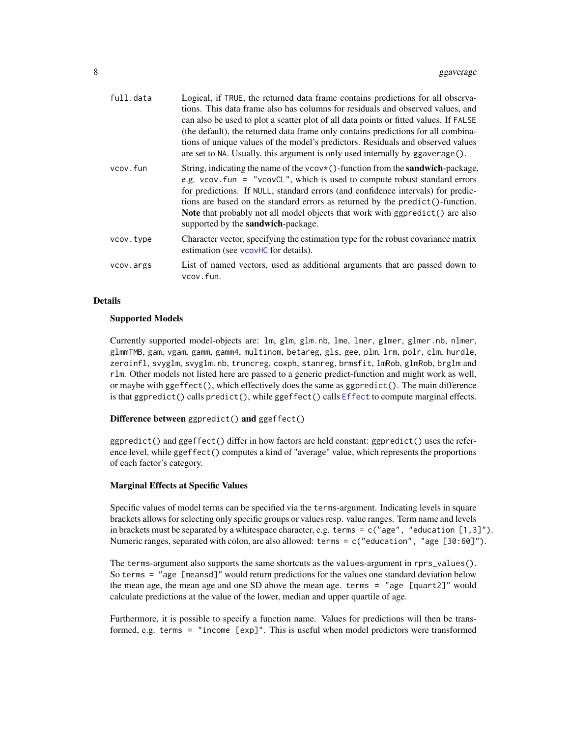<span id="page-7-0"></span>

| full.data | Logical, if TRUE, the returned data frame contains predictions for all observa-<br>tions. This data frame also has columns for residuals and observed values, and<br>can also be used to plot a scatter plot of all data points or fitted values. If FALSE<br>(the default), the returned data frame only contains predictions for all combina-<br>tions of unique values of the model's predictors. Residuals and observed values<br>are set to NA. Usually, this argument is only used internally by ggaverage(). |
|-----------|---------------------------------------------------------------------------------------------------------------------------------------------------------------------------------------------------------------------------------------------------------------------------------------------------------------------------------------------------------------------------------------------------------------------------------------------------------------------------------------------------------------------|
| vcov.fun  | String, indicating the name of the $\vee \vee \vee$ ()-function from the <b>sandwich</b> -package,<br>e.g. vcov. fun = "vcov $CL$ ", which is used to compute robust standard errors<br>for predictions. If NULL, standard errors (and confidence intervals) for predic-<br>tions are based on the standard errors as returned by the predict()-function.<br><b>Note</b> that probably not all model objects that work with ggpredict () are also<br>supported by the <b>sandwich</b> -package.                     |
| vcov.type | Character vector, specifying the estimation type for the robust covariance matrix<br>estimation (see vcovHC for details).                                                                                                                                                                                                                                                                                                                                                                                           |
| vcov.args | List of named vectors, used as additional arguments that are passed down to<br>vcov.fun.                                                                                                                                                                                                                                                                                                                                                                                                                            |

#### Details

#### Supported Models

Currently supported model-objects are: lm, glm, glm.nb, lme, lmer, glmer, glmer.nb, nlmer, glmmTMB, gam, vgam, gamm, gamm4, multinom, betareg, gls, gee, plm, lrm, polr, clm, hurdle, zeroinfl, svyglm, svyglm.nb, truncreg, coxph, stanreg, brmsfit, lmRob, glmRob, brglm and rlm. Other models not listed here are passed to a generic predict-function and might work as well, or maybe with ggeffect(), which effectively does the same as ggpredict(). The main difference is that ggpredict() calls predict(), while ggeffect() calls [Effect](#page-0-0) to compute marginal effects.

Difference between ggpredict() and ggeffect()

ggpredict() and ggeffect() differ in how factors are held constant: ggpredict() uses the reference level, while ggeffect() computes a kind of "average" value, which represents the proportions of each factor's category.

#### Marginal Effects at Specific Values

Specific values of model terms can be specified via the terms-argument. Indicating levels in square brackets allows for selecting only specific groups or values resp. value ranges. Term name and levels in brackets must be separated by a whitespace character, e.g. terms =  $c("age", "eduction [1,3]").$ Numeric ranges, separated with colon, are also allowed: terms = c("education", "age [30:60]").

The terms-argument also supports the same shortcuts as the values-argument in rprs\_values(). So terms = "age [meansd]" would return predictions for the values one standard deviation below the mean age, the mean age and one SD above the mean age. terms = "age [quart2]" would calculate predictions at the value of the lower, median and upper quartile of age.

Furthermore, it is possible to specify a function name. Values for predictions will then be transformed, e.g. terms = "income [exp]". This is useful when model predictors were transformed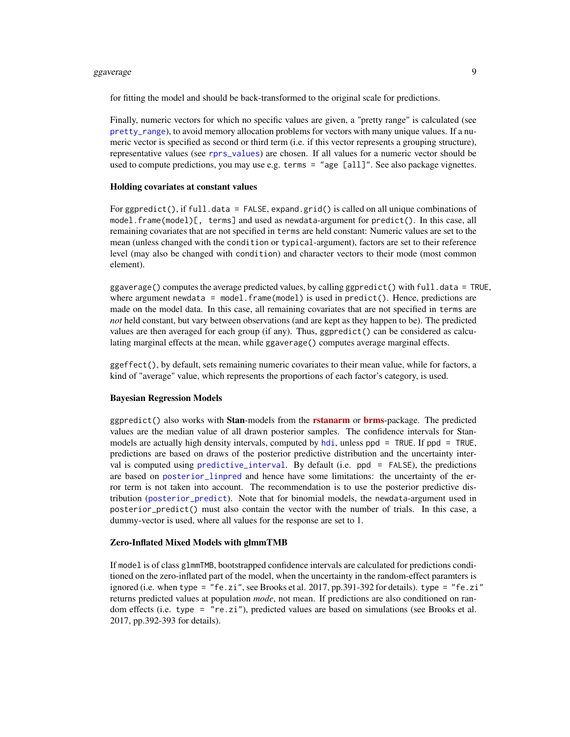#### <span id="page-8-0"></span>ggaverage 9

for fitting the model and should be back-transformed to the original scale for predictions.

Finally, numeric vectors for which no specific values are given, a "pretty range" is calculated (see [pretty\\_range](#page-14-1)), to avoid memory allocation problems for vectors with many unique values. If a numeric vector is specified as second or third term (i.e. if this vector represents a grouping structure), representative values (see [rprs\\_values](#page-15-1)) are chosen. If all values for a numeric vector should be used to compute predictions, you may use e.g. terms = "age [all]". See also package vignettes.

#### Holding covariates at constant values

For ggpredict(), if full.data = FALSE, expand.grid() is called on all unique combinations of model.frame(model)[, terms] and used as newdata-argument for predict(). In this case, all remaining covariates that are not specified in terms are held constant: Numeric values are set to the mean (unless changed with the condition or typical-argument), factors are set to their reference level (may also be changed with condition) and character vectors to their mode (most common element).

ggaverage() computes the average predicted values, by calling ggpredict() with full.data = TRUE, where argument newdata =  $model$ .  $frame(model)$  is used in  $predict()$ . Hence, predictions are made on the model data. In this case, all remaining covariates that are not specified in terms are *not* held constant, but vary between observations (and are kept as they happen to be). The predicted values are then averaged for each group (if any). Thus,  $ggpredict()$  can be considered as calculating marginal effects at the mean, while ggaverage() computes average marginal effects.

ggeffect(), by default, sets remaining numeric covariates to their mean value, while for factors, a kind of "average" value, which represents the proportions of each factor's category, is used.

#### Bayesian Regression Models

ggpredict() also works with **Stan-**models from the **[rstanarm](https://CRAN.R-project.org/package=rstanarm)** or **[brms](https://CRAN.R-project.org/package=brms)**-package. The predicted values are the median value of all drawn posterior samples. The confidence intervals for Stanmodels are actually high density intervals, computed by [hdi](#page-0-0), unless ppd = TRUE. If ppd = TRUE, predictions are based on draws of the posterior predictive distribution and the uncertainty interval is computed using [predictive\\_interval](#page-0-0). By default (i.e. ppd = FALSE), the predictions are based on [posterior\\_linpred](#page-0-0) and hence have some limitations: the uncertainty of the error term is not taken into account. The recommendation is to use the posterior predictive distribution ([posterior\\_predict](#page-0-0)). Note that for binomial models, the newdata-argument used in posterior\_predict() must also contain the vector with the number of trials. In this case, a dummy-vector is used, where all values for the response are set to 1.

#### Zero-Inflated Mixed Models with glmmTMB

If model is of class glmmTMB, bootstrapped confidence intervals are calculated for predictions conditioned on the zero-inflated part of the model, when the uncertainty in the random-effect paramters is ignored (i.e. when type = "fe.zi", see Brooks et al. 2017, pp.391-392 for details). type = "fe.zi" returns predicted values at population *mode*, not mean. If predictions are also conditioned on random effects (i.e. type = "re.zi"), predicted values are based on simulations (see Brooks et al. 2017, pp.392-393 for details).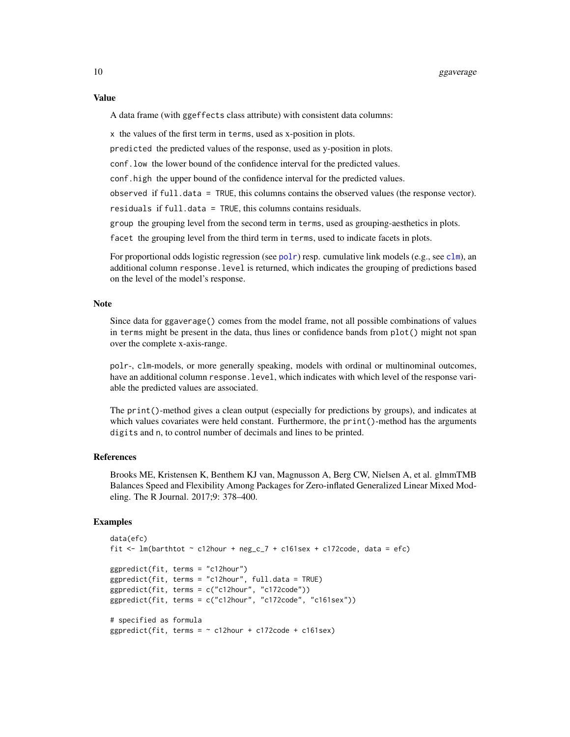#### <span id="page-9-0"></span>Value

A data frame (with ggeffects class attribute) with consistent data columns:

x the values of the first term in terms, used as x-position in plots.

predicted the predicted values of the response, used as y-position in plots.

conf.low the lower bound of the confidence interval for the predicted values.

conf.high the upper bound of the confidence interval for the predicted values.

observed if full.data = TRUE, this columns contains the observed values (the response vector).

residuals if full.data = TRUE, this columns contains residuals.

group the grouping level from the second term in terms, used as grouping-aesthetics in plots.

facet the grouping level from the third term in terms, used to indicate facets in plots.

For proportional odds logistic regression (see [polr](#page-0-0)) resp. cumulative link models (e.g., see [clm](#page-0-0)), an additional column response.level is returned, which indicates the grouping of predictions based on the level of the model's response.

#### Note

Since data for ggaverage() comes from the model frame, not all possible combinations of values in terms might be present in the data, thus lines or confidence bands from plot() might not span over the complete x-axis-range.

polr-, clm-models, or more generally speaking, models with ordinal or multinominal outcomes, have an additional column response.level, which indicates with which level of the response variable the predicted values are associated.

The print()-method gives a clean output (especially for predictions by groups), and indicates at which values covariates were held constant. Furthermore, the print()-method has the arguments digits and n, to control number of decimals and lines to be printed.

#### References

Brooks ME, Kristensen K, Benthem KJ van, Magnusson A, Berg CW, Nielsen A, et al. glmmTMB Balances Speed and Flexibility Among Packages for Zero-inflated Generalized Linear Mixed Modeling. The R Journal. 2017;9: 378–400.

```
data(efc)
fit <- lm(barthtot \sim c12hour + neg_c 7 + c161sex + c172code, data = efc)ggpredict(fit, terms = "c12hour")
ggpredict(fit, terms = "c12hour", full.data = TRUE)
ggpredict(fit, terms = c("c12hour", "c172code"))
ggpredict(fit, terms = c("c12hour", "c172code", "c161sex"))
# specified as formula
ggpredict(fit, terms = \sim c12hour + c172code + c161sex)
```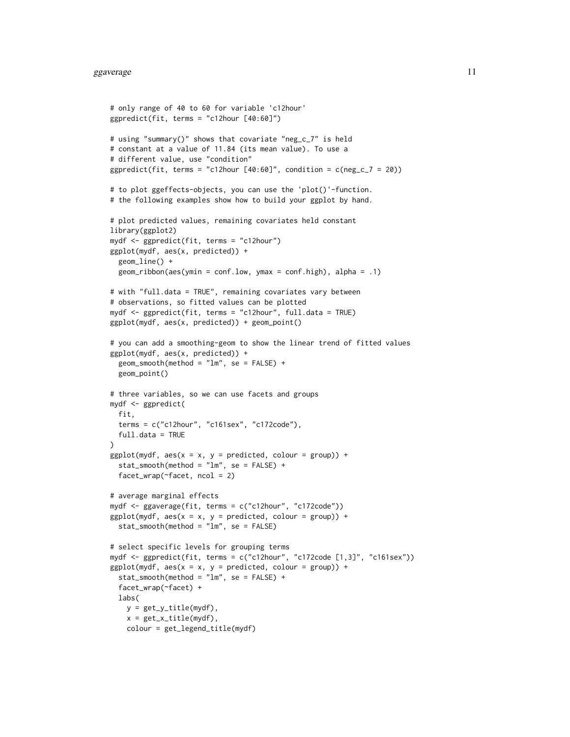```
# only range of 40 to 60 for variable 'c12hour'
ggpredict(fit, terms = "c12hour [40:60]")
# using "summary()" shows that covariate "neg_c_7" is held
# constant at a value of 11.84 (its mean value). To use a
# different value, use "condition"
ggpredict(fit, terms = "c12hour [40:60]", condition = c(neg_c_7 = 20))
# to plot ggeffects-objects, you can use the 'plot()'-function.
# the following examples show how to build your ggplot by hand.
# plot predicted values, remaining covariates held constant
library(ggplot2)
mydf <- ggpredict(fit, terms = "c12hour")
ggplot(mydf, aes(x, predicted)) +
 geom_line() +
 geom\_ribbon(aes(ymin = conf.low, ymax = conf.high), alpha = .1)# with "full.data = TRUE", remaining covariates vary between
# observations, so fitted values can be plotted
mydf <- ggpredict(fit, terms = "c12hour", full.data = TRUE)
ggplot(mydf, aes(x, predicted)) + geom_point()
# you can add a smoothing-geom to show the linear trend of fitted values
ggplot(mydf, aes(x, predicted)) +
 geom\_smooth(method = "lm", se = FALSE) +geom_point()
# three variables, so we can use facets and groups
mydf <- ggpredict(
 fit,
 terms = c("c12hour", "c161sex", "c172code"),
 full.data = TRUE
\lambdaggplot(mydf, aes(x = x, y = predicted, colour = group)) +stat\_smooth(method = "lm", se = FALSE) +facet_wrap(~facet, ncol = 2)
# average marginal effects
mydf <- ggaverage(fit, terms = c("c12hour", "c172code"))
ggplot(mydf, aes(x = x, y = predicted, colour = group)) +stat_smooth(method = "lm", se = FALSE)
# select specific levels for grouping terms
mydf <- ggpredict(fit, terms = c("c12hour", "c172code [1,3]", "c161sex"))
ggplot(mydf, aes(x = x, y = predicted, colour = group)) +stat_smooth(method = "lm", se = FALSE) +
 facet_wrap(~facet) +
 labs(
   y = get_y_title(mydf),
   x = get_x_title(mydf),colour = get_legend_title(mydf)
```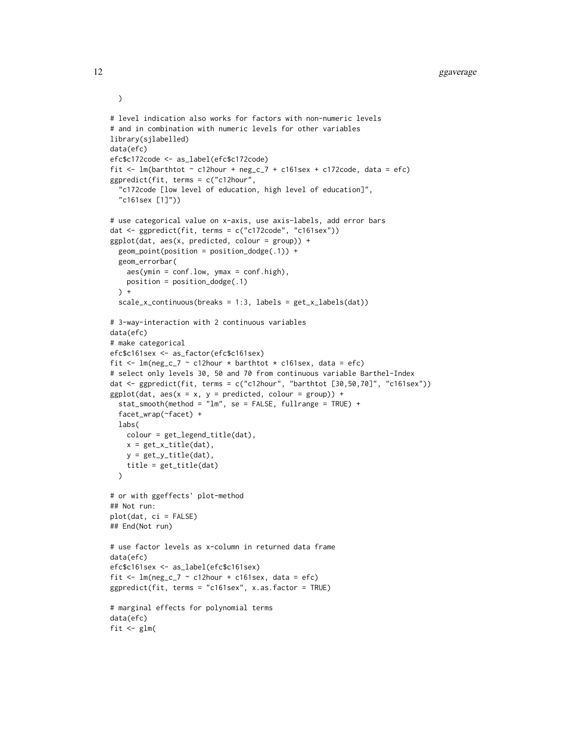```
# level indication also works for factors with non-numeric levels
# and in combination with numeric levels for other variables
library(sjlabelled)
data(efc)
efc$c172code <- as_label(efc$c172code)
fit <- lm(barthtot \sim c12hour + neg_c_7 + c161sex + c172code, data = efc)
ggpredict(fit, terms = c("c12hour",
  "c172code [low level of education, high level of education]",
  "c161sex [1]"))
# use categorical value on x-axis, use axis-labels, add error bars
dat <- ggpredict(fit, terms = c("c172code", "c161sex"))
ggplot(data, aes(x, predicted, colour = group)) +geom_point(position = position_dodge(.1)) +
 geom_errorbar(
   aes(ymin = conf.low, ymax = conf.high),
   position = position_dodge(.1)
 ) +scale_x_continuous(breaks = 1:3, labels = get_x_labels(dat))
# 3-way-interaction with 2 continuous variables
data(efc)
# make categorical
efc$c161sex <- as_factor(efc$c161sex)
fit <- lm(neg_c_7 \sim c12hour \cdot barthtot \cdot c161sex, data = efc)# select only levels 30, 50 and 70 from continuous variable Barthel-Index
dat <- ggpredict(fit, terms = c("c12hour", "barthtot [30,50,70]", "c161sex"))
ggplot(data, aes(x = x, y = predicted, colour = group)) +stat_smooth(method = "lm", se = FALSE, fullrange = TRUE) +
 facet_wrap(~facet) +
 labs(
   colour = get_legend_title(dat),
   x = get_x_title(data),y = get_y_title(dat),
   title = get_title(dat)
 \lambda# or with ggeffects' plot-method
## Not run:
plot(dat, ci = FALSE)
## End(Not run)
# use factor levels as x-column in returned data frame
data(efc)
efc$c161sex <- as_label(efc$c161sex)
fit \leq lm(neg_c_7 \sim c12hour + c161sex, data = efc)
ggpredict(fit, terms = "c161sex", x.as.factor = TRUE)
# marginal effects for polynomial terms
data(efc)
fit \leq glm(
```
)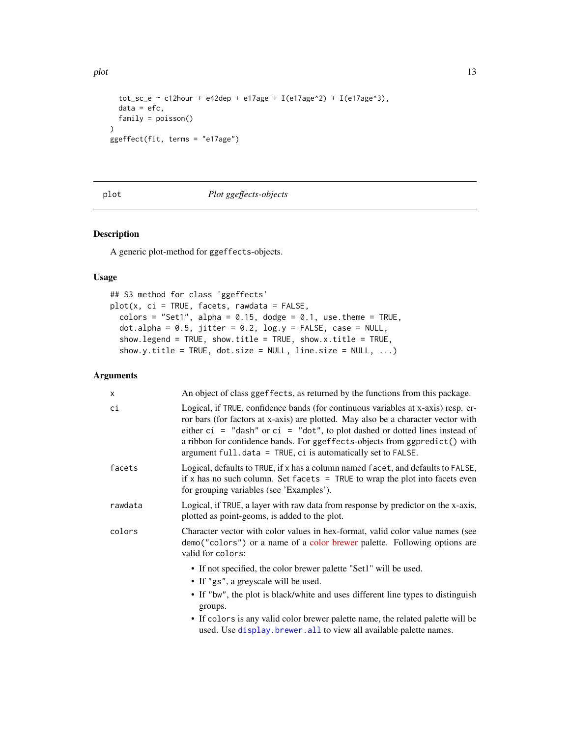<span id="page-12-0"></span>plot the contract of the contract of the contract of the contract of the contract of the contract of the contract of the contract of the contract of the contract of the contract of the contract of the contract of the contr

```
tot_sc_e ~ c12hour + e42dep + e17age + I(e17age^2) + I(e17age^3),
  data = efc,family = poisson()
\mathcal{L}ggeffect(fit, terms = "e17age")
```
plot *Plot ggeffects-objects*

#### Description

A generic plot-method for ggeffects-objects.

#### Usage

```
## S3 method for class 'ggeffects'
plot(x, ci = TRUE, facets, rawdata = FALSE,
  colors = "Set1", alpha = 0.15, dodge = 0.1, use.theme = TRUE,
  dot.alpha = 0.5, jitter = 0.2, log.y = FALSE, case = NULL,
  show.legend = TRUE, show.title = TRUE, show.x.title = TRUE,
  show.y.title = TRUE, dot.size = NULL, line.size = NULL, \ldots)
```

| X       | An object of class ggeffects, as returned by the functions from this package.                                                                                                                                                                                                                                                                                                                             |
|---------|-----------------------------------------------------------------------------------------------------------------------------------------------------------------------------------------------------------------------------------------------------------------------------------------------------------------------------------------------------------------------------------------------------------|
| ci      | Logical, if TRUE, confidence bands (for continuous variables at x-axis) resp. er-<br>ror bars (for factors at x-axis) are plotted. May also be a character vector with<br>either $ci = "dash"$ or $ci = "dot",$ to plot dashed or dotted lines instead of<br>a ribbon for confidence bands. For ggeffects-objects from ggpredict() with<br>argument $full.data = TRUE, ci is automatically set to FALSE.$ |
| facets  | Logical, defaults to TRUE, if x has a column named facet, and defaults to FALSE,<br>if x has no such column. Set facets $=$ TRUE to wrap the plot into facets even<br>for grouping variables (see 'Examples').                                                                                                                                                                                            |
| rawdata | Logical, if TRUE, a layer with raw data from response by predictor on the x-axis,<br>plotted as point-geoms, is added to the plot.                                                                                                                                                                                                                                                                        |
| colors  | Character vector with color values in hex-format, valid color value names (see<br>demo("colors") or a name of a color brewer palette. Following options are<br>valid for colors:                                                                                                                                                                                                                          |
|         | • If not specified, the color brewer palette "Set1" will be used.                                                                                                                                                                                                                                                                                                                                         |
|         | • If "gs", a greyscale will be used.                                                                                                                                                                                                                                                                                                                                                                      |
|         | • If "bw", the plot is black/white and uses different line types to distinguish<br>groups.                                                                                                                                                                                                                                                                                                                |
|         | • If colors is any valid color brewer palette name, the related palette will be<br>used. Use display. brewer. all to view all available palette names.                                                                                                                                                                                                                                                    |
|         |                                                                                                                                                                                                                                                                                                                                                                                                           |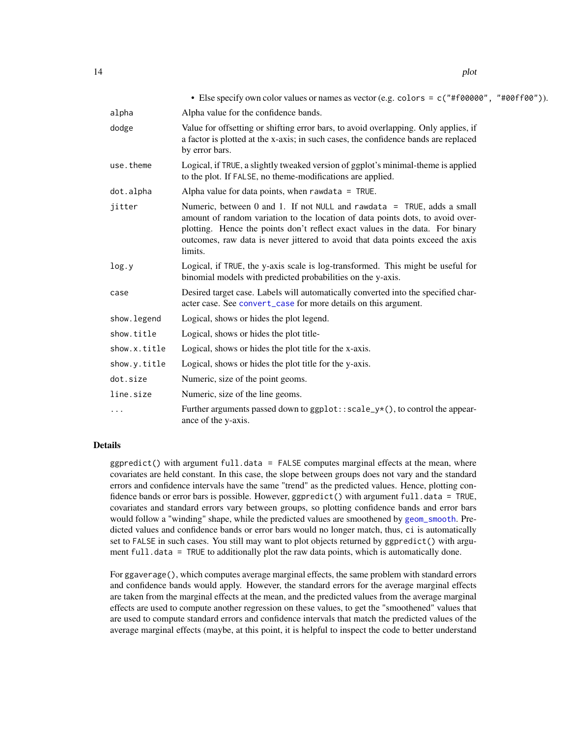<span id="page-13-0"></span>

|              | • Else specify own color values or names as vector (e.g. colors = c("#f00000", "#00ff00")).                                                                                                                                                                                                                                            |
|--------------|----------------------------------------------------------------------------------------------------------------------------------------------------------------------------------------------------------------------------------------------------------------------------------------------------------------------------------------|
| alpha        | Alpha value for the confidence bands.                                                                                                                                                                                                                                                                                                  |
| dodge        | Value for offsetting or shifting error bars, to avoid overlapping. Only applies, if<br>a factor is plotted at the x-axis; in such cases, the confidence bands are replaced<br>by error bars.                                                                                                                                           |
| use.theme    | Logical, if TRUE, a slightly tweaked version of ggplot's minimal-theme is applied<br>to the plot. If FALSE, no theme-modifications are applied.                                                                                                                                                                                        |
| dot.alpha    | Alpha value for data points, when rawdata = $TRUE$ .                                                                                                                                                                                                                                                                                   |
| jitter       | Numeric, between 0 and 1. If not NULL and rawdata = TRUE, adds a small<br>amount of random variation to the location of data points dots, to avoid over-<br>plotting. Hence the points don't reflect exact values in the data. For binary<br>outcomes, raw data is never jittered to avoid that data points exceed the axis<br>limits. |
| log.y        | Logical, if TRUE, the y-axis scale is log-transformed. This might be useful for<br>binomial models with predicted probabilities on the y-axis.                                                                                                                                                                                         |
| case         | Desired target case. Labels will automatically converted into the specified char-<br>acter case. See convert_case for more details on this argument.                                                                                                                                                                                   |
| show. legend | Logical, shows or hides the plot legend.                                                                                                                                                                                                                                                                                               |
| show.title   | Logical, shows or hides the plot title-                                                                                                                                                                                                                                                                                                |
| show.x.title | Logical, shows or hides the plot title for the x-axis.                                                                                                                                                                                                                                                                                 |
| show.y.title | Logical, shows or hides the plot title for the y-axis.                                                                                                                                                                                                                                                                                 |
| dot.size     | Numeric, size of the point geoms.                                                                                                                                                                                                                                                                                                      |
| line.size    | Numeric, size of the line geoms.                                                                                                                                                                                                                                                                                                       |
| .            | Further arguments passed down to $ggplot::scale_y*()$ , to control the appear-<br>ance of the y-axis.                                                                                                                                                                                                                                  |

#### Details

 $ggpredict()$  with argument full.data = FALSE computes marginal effects at the mean, where covariates are held constant. In this case, the slope between groups does not vary and the standard errors and confidence intervals have the same "trend" as the predicted values. Hence, plotting confidence bands or error bars is possible. However, ggpredict() with argument full.data = TRUE, covariates and standard errors vary between groups, so plotting confidence bands and error bars would follow a "winding" shape, while the predicted values are smoothened by [geom\\_smooth](#page-0-0). Predicted values and confidence bands or error bars would no longer match, thus, ci is automatically set to FALSE in such cases. You still may want to plot objects returned by ggpredict() with argument full.data = TRUE to additionally plot the raw data points, which is automatically done.

For ggaverage(), which computes average marginal effects, the same problem with standard errors and confidence bands would apply. However, the standard errors for the average marginal effects are taken from the marginal effects at the mean, and the predicted values from the average marginal effects are used to compute another regression on these values, to get the "smoothened" values that are used to compute standard errors and confidence intervals that match the predicted values of the average marginal effects (maybe, at this point, it is helpful to inspect the code to better understand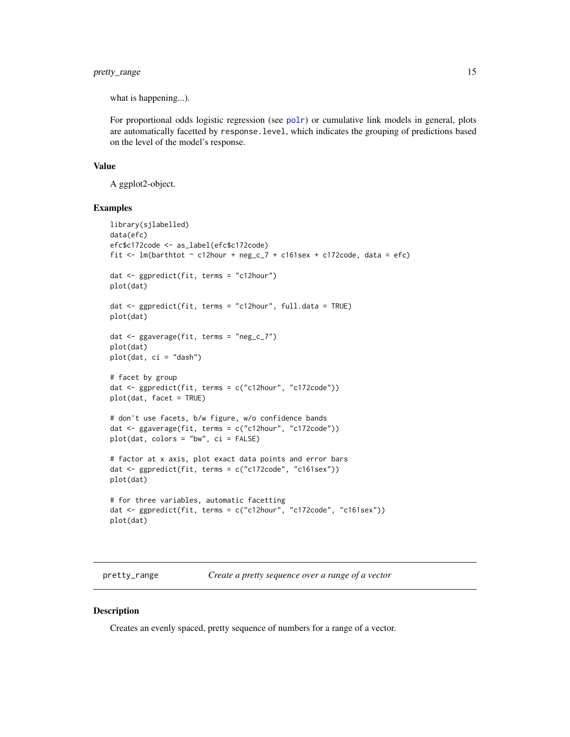#### <span id="page-14-0"></span>pretty\_range 15

what is happening...).

For proportional odds logistic regression (see [polr](#page-0-0)) or cumulative link models in general, plots are automatically facetted by response.level, which indicates the grouping of predictions based on the level of the model's response.

#### Value

A ggplot2-object.

#### Examples

```
library(sjlabelled)
data(efc)
efc$c172code <- as_label(efc$c172code)
fit <- lm(barthtot \sim c12hour + neg_c_7 + c161sex + c172code, data = efc)
dat <- ggpredict(fit, terms = "c12hour")
plot(dat)
dat <- ggpredict(fit, terms = "c12hour", full.data = TRUE)
plot(dat)
dat <- ggaverage(fit, terms = "neg_c_7")
plot(dat)
plot(dat, ci = "dash")
# facet by group
dat <- ggpredict(fit, terms = c("c12hour", "c172code"))
plot(dat, facet = TRUE)
# don't use facets, b/w figure, w/o confidence bands
dat <- ggaverage(fit, terms = c("c12hour", "c172code"))
plot(dat, colors = "bw", ci = FALSE)
# factor at x axis, plot exact data points and error bars
dat <- ggpredict(fit, terms = c("c172code", "c161sex"))
plot(dat)
# for three variables, automatic facetting
dat <- ggpredict(fit, terms = c("c12hour", "c172code", "c161sex"))
plot(dat)
```
<span id="page-14-1"></span>pretty\_range *Create a pretty sequence over a range of a vector*

#### Description

Creates an evenly spaced, pretty sequence of numbers for a range of a vector.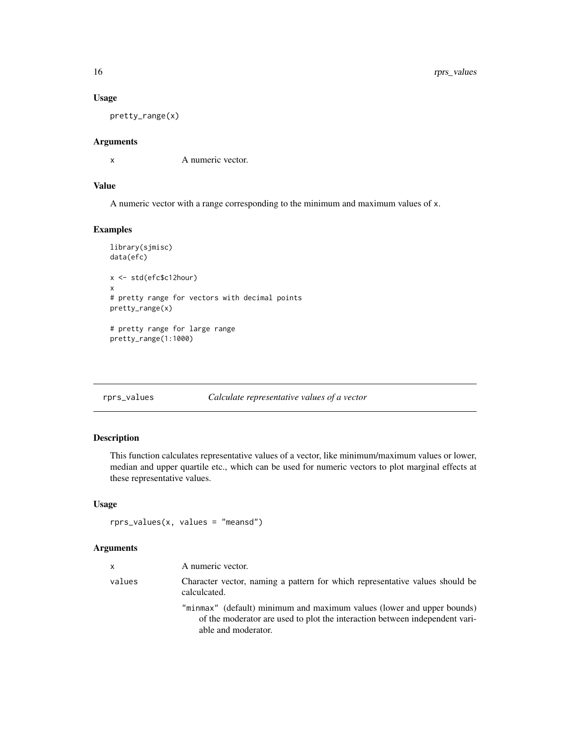#### Usage

pretty\_range(x)

#### Arguments

x A numeric vector.

#### Value

A numeric vector with a range corresponding to the minimum and maximum values of x.

#### Examples

```
library(sjmisc)
data(efc)
x <- std(efc$c12hour)
x
# pretty range for vectors with decimal points
pretty_range(x)
# pretty range for large range
pretty_range(1:1000)
```
<span id="page-15-1"></span>rprs\_values *Calculate representative values of a vector*

#### Description

This function calculates representative values of a vector, like minimum/maximum values or lower, median and upper quartile etc., which can be used for numeric vectors to plot marginal effects at these representative values.

#### Usage

rprs\_values(x, values = "meansd")

| $\mathsf{x}$ | A numeric vector.                                                                                                                                                            |
|--------------|------------------------------------------------------------------------------------------------------------------------------------------------------------------------------|
| values       | Character vector, naming a pattern for which representative values should be<br>calculcated.                                                                                 |
|              | "minmax" (default) minimum and maximum values (lower and upper bounds)<br>of the moderator are used to plot the interaction between independent vari-<br>able and moderator. |

<span id="page-15-0"></span>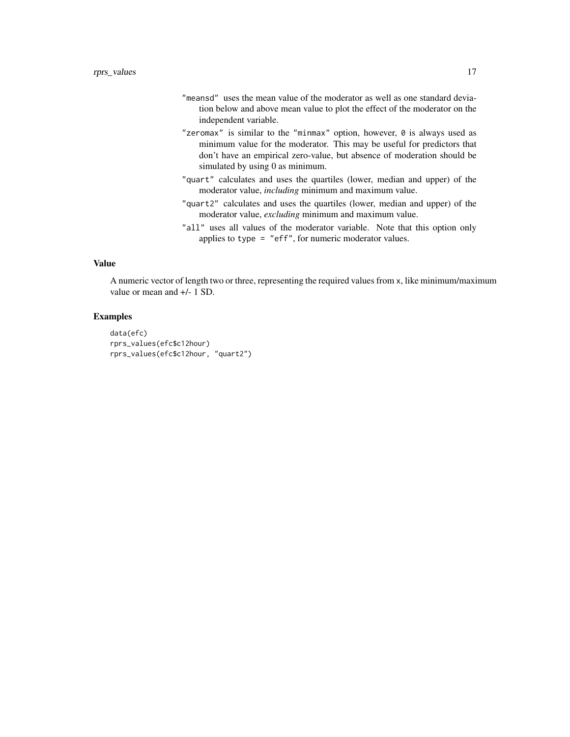- "meansd" uses the mean value of the moderator as well as one standard deviation below and above mean value to plot the effect of the moderator on the independent variable.
- "zeromax" is similar to the "minmax" option, however, 0 is always used as minimum value for the moderator. This may be useful for predictors that don't have an empirical zero-value, but absence of moderation should be simulated by using 0 as minimum.
- "quart" calculates and uses the quartiles (lower, median and upper) of the moderator value, *including* minimum and maximum value.
- "quart2" calculates and uses the quartiles (lower, median and upper) of the moderator value, *excluding* minimum and maximum value.
- "all" uses all values of the moderator variable. Note that this option only applies to type = "eff", for numeric moderator values.

#### Value

A numeric vector of length two or three, representing the required values from x, like minimum/maximum value or mean and +/- 1 SD.

```
data(efc)
rprs_values(efc$c12hour)
rprs_values(efc$c12hour, "quart2")
```